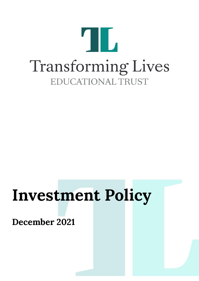

# **Investment Policy**

**December 2021**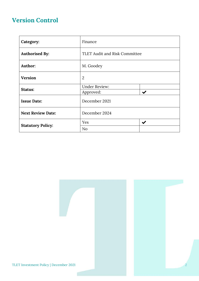### **Version Control**

| Category:                | Finance                              |                           |
|--------------------------|--------------------------------------|---------------------------|
| <b>Authorised By:</b>    | <b>TLET Audit and Risk Committee</b> |                           |
| Author:                  | M. Goodey                            |                           |
| <b>Version</b>           | $\overline{2}$                       |                           |
| Status:                  | <b>Under Review:</b><br>Approved:    | $\boldsymbol{\checkmark}$ |
| <b>Issue Date:</b>       | December 2021                        |                           |
| <b>Next Review Date:</b> | December 2024                        |                           |
| <b>Statutory Policy:</b> | Yes                                  | $\boldsymbol{\checkmark}$ |
|                          | No                                   |                           |

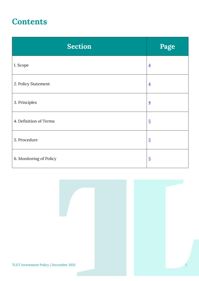## **Contents**

| <b>Section</b>          | Page           |
|-------------------------|----------------|
| 1. Scope                | $\overline{4}$ |
| 2. Policy Statement     | $\overline{4}$ |
| 3. Principles           | $\overline{4}$ |
| 4. Definition of Terms  | $\overline{5}$ |
| 5. Procedure            | $\overline{5}$ |
| 6. Monitoring of Policy | $\overline{5}$ |

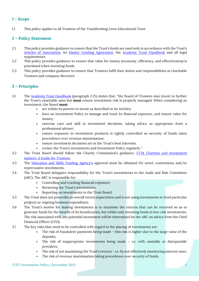#### <span id="page-3-0"></span>**1 – Scope**

1.1 This policy applies to all Trustees of the Transforming Lives Educational Trust.

#### <span id="page-3-1"></span>**2 – Policy Statement**

- 2.1 This policy provides guidance to ensure that the Trust's funds are used only in accordance with the Trust's [Articles of Association,](https://www.tlet.org.uk/assets/Documents/Attachments/Articles-of-Association.pdf) its [Master Funding Agreement,](https://www.tlet.org.uk/assets/Documents/Attachments/TLET-Master-Funding-Agreement-2020.pdf) the [Academy Trust](https://www.gov.uk/guidance/academy-trust-handbook) Handbook and all legal requirements.
- 2.2 This policy provides guidance to ensure that value for money (economy, efficiency, and effectiveness) is prioritised when investing funds.
- 2.3 This policy provides guidance to ensure that Trustees fulfil their duties and responsibilities as charitable Trustees and company directors.

#### <span id="page-3-2"></span>**3 – Principles**

- 3.1 The [Academy Trust Handbook](https://www.gov.uk/guidance/academy-trust-handbook) (paragraph 2.25) states that, "the Board of Trustees may invest to further the Trust's charitable aims but **must** ensure investment risk is properly managed. When considering an investment, the Board **must**:
	- act within its powers to invest as described in its Articles;
	- have an Investment Policy to manage and track its financial exposure, and ensure value for money;
	- exercise care and skill in investment decisions, taking advice as appropriate from a professional adviser;
	- ensure exposure to investment products is tightly controlled so security of funds takes precedence over revenue maximisation;
	- ensure investment decisions are in the Trust's best interests;
	- review the Trust's investments and Investment Policy regularly."
- 3.2 The Trust Board should follow the Charity Commission's guidance, CC14 Charities and Investment [matters: A Guide for Trustees.](https://www.gov.uk/government/publications/charities-and-investment-matters-a-guide-for-trustees-cc14)
- 3.3 The [Education and Skills Funding Agency's](https://www.gov.uk/government/organisations/education-and-skills-funding-agency) approval must be obtained for novel, contentious and/or repercussive investments.
- 3.4 The Trust Board delegates responsibility for the Trust's investments to the Audit and Risk Committee (ARC). The ARC is responsible for:
	- Controlling and tracking financial exposure;
	- Reviewing the Trust's investments;
	- Reporting on investments to the Trust Board.
- 3.5 The Trust does not prescribe an overall return expectation and is not using investments to fund particular projects or ongoing business expenditure.
- 3.6 The Trust's motive for making investments is to maximise the returns that can be received so as to generate funds for the benefit of its beneficiaries, but whilst only investing funds in low-risk investments. The risk associated with any potential investment will be determined by the ARC on advice from the Chief Financial Officer (CFO).
- 3.7 The key risks that need to be controlled with regard to the placing of investments are:
	- The risk of fraudulent payments being made this risk is higher due to the large value of the deposits;
	- The risk of inappropriate investments being made i.e. with unstable or disreputable providers;
	- The risk of not maximising the Trust's returns i.e. by not effectively monitoring interest rates;
	- The risk of revenue maximisation taking precedence over security of funds.

#### TLET Investment Policy | December 2021 4